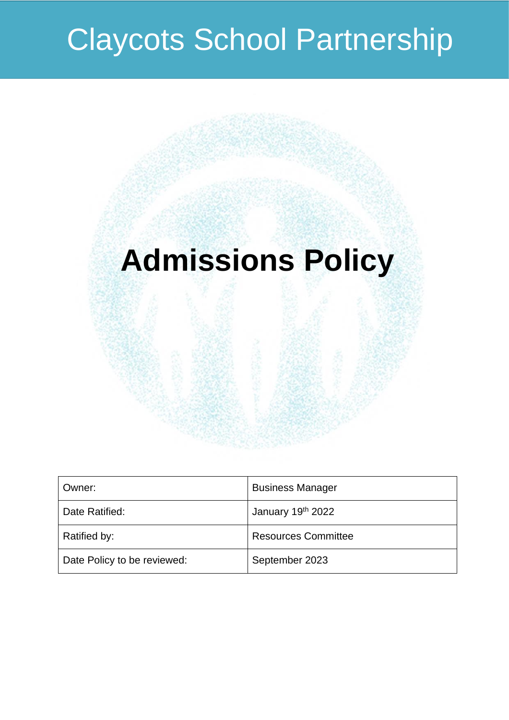# **Claycots School Partnership**

# **Admissions Policy**

| Owner:                      | <b>Business Manager</b>    |
|-----------------------------|----------------------------|
| Date Ratified:              | January 19th 2022          |
| Ratified by:                | <b>Resources Committee</b> |
| Date Policy to be reviewed: | September 2023             |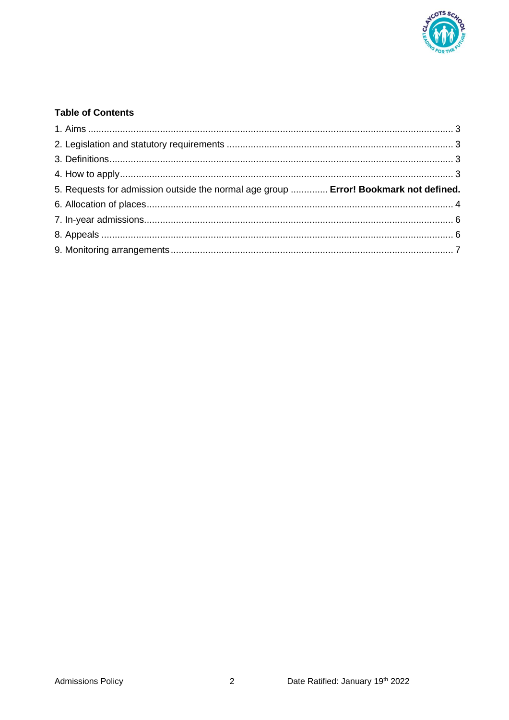

# **Table of Contents**

| 5. Requests for admission outside the normal age group  Error! Bookmark not defined. |  |
|--------------------------------------------------------------------------------------|--|
|                                                                                      |  |
|                                                                                      |  |
|                                                                                      |  |
|                                                                                      |  |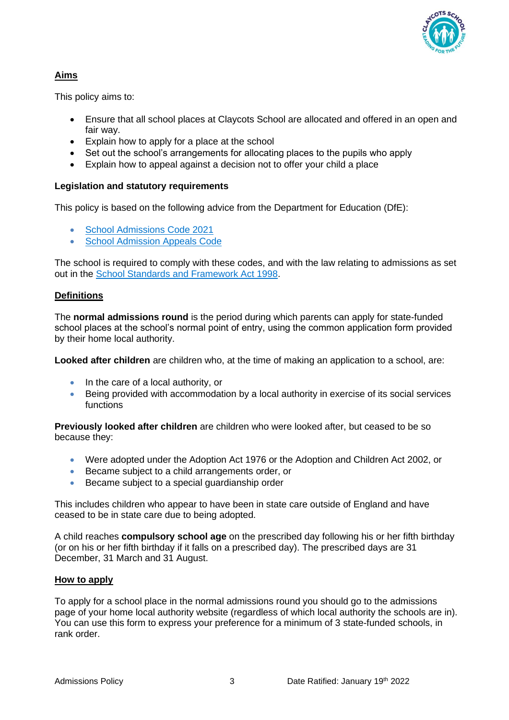

# <span id="page-2-0"></span>**Aims**

This policy aims to:

- Ensure that all school places at Claycots School are allocated and offered in an open and fair way.
- Explain how to apply for a place at the school
- Set out the school's arrangements for allocating places to the pupils who apply
- Explain how to appeal against a decision not to offer your child a place

# <span id="page-2-1"></span>**Legislation and statutory requirements**

This policy is based on the following advice from the Department for Education (DfE):

- [School Admissions Code 2021](https://www.gov.uk/government/publications/school-admissions-code--2)
- [School Admission Appeals Code](https://www.gov.uk/government/publications/school-admissions-appeals-code)

The school is required to comply with these codes, and with the law relating to admissions as set out in the [School Standards and Framework Act 1998.](http://www.legislation.gov.uk/ukpga/1998/31/contents)

# <span id="page-2-2"></span>**Definitions**

The **normal admissions round** is the period during which parents can apply for state-funded school places at the school's normal point of entry, using the common application form provided by their home local authority.

**Looked after children** are children who, at the time of making an application to a school, are:

- In the care of a local authority, or
- Being provided with accommodation by a local authority in exercise of its social services functions

**Previously looked after children** are children who were looked after, but ceased to be so because they:

- Were adopted under the Adoption Act 1976 or the Adoption and Children Act 2002, or
- Became subject to a child arrangements order, or
- Became subject to a special guardianship order

This includes children who appear to have been in state care outside of England and have ceased to be in state care due to being adopted.

A child reaches **compulsory school age** on the prescribed day following his or her fifth birthday (or on his or her fifth birthday if it falls on a prescribed day). The prescribed days are 31 December, 31 March and 31 August.

## <span id="page-2-3"></span>**How to apply**

To apply for a school place in the normal admissions round you should go to the admissions page of your home local authority website (regardless of which local authority the schools are in). You can use this form to express your preference for a minimum of 3 state-funded schools, in rank order.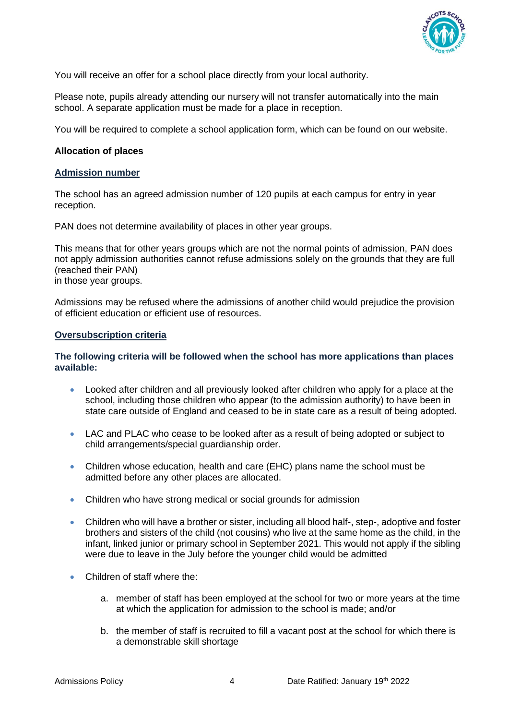

You will receive an offer for a school place directly from your local authority.

Please note, pupils already attending our nursery will not transfer automatically into the main school. A separate application must be made for a place in reception.

<span id="page-3-0"></span>You will be required to complete a school application form, which can be found on our website.

#### **Allocation of places**

#### **Admission number**

The school has an agreed admission number of 120 pupils at each campus for entry in year reception.

PAN does not determine availability of places in other year groups.

This means that for other years groups which are not the normal points of admission, PAN does not apply admission authorities cannot refuse admissions solely on the grounds that they are full (reached their PAN) in those year groups.

Admissions may be refused where the admissions of another child would prejudice the provision of efficient education or efficient use of resources.

#### **Oversubscription criteria**

#### **The following criteria will be followed when the school has more applications than places available:**

- Looked after children and all previously looked after children who apply for a place at the school, including those children who appear (to the admission authority) to have been in state care outside of England and ceased to be in state care as a result of being adopted.
- LAC and PLAC who cease to be looked after as a result of being adopted or subject to child arrangements/special guardianship order.
- Children whose education, health and care (EHC) plans name the school must be admitted before any other places are allocated.
- Children who have strong medical or social grounds for admission
- Children who will have a brother or sister, including all blood half-, step-, adoptive and foster brothers and sisters of the child (not cousins) who live at the same home as the child, in the infant, linked junior or primary school in September 2021. This would not apply if the sibling were due to leave in the July before the younger child would be admitted
- Children of staff where the:
	- a. member of staff has been employed at the school for two or more years at the time at which the application for admission to the school is made; and/or
	- b. the member of staff is recruited to fill a vacant post at the school for which there is a demonstrable skill shortage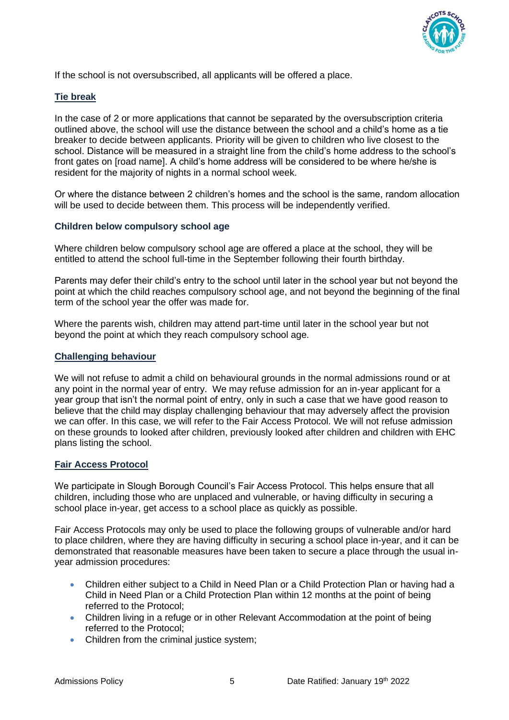

If the school is not oversubscribed, all applicants will be offered a place.

# **Tie break**

In the case of 2 or more applications that cannot be separated by the oversubscription criteria outlined above, the school will use the distance between the school and a child's home as a tie breaker to decide between applicants. Priority will be given to children who live closest to the school. Distance will be measured in a straight line from the child's home address to the school's front gates on [road name]. A child's home address will be considered to be where he/she is resident for the majority of nights in a normal school week.

Or where the distance between 2 children's homes and the school is the same, random allocation will be used to decide between them. This process will be independently verified.

## **Children below compulsory school age**

Where children below compulsory school age are offered a place at the school, they will be entitled to attend the school full-time in the September following their fourth birthday.

Parents may defer their child's entry to the school until later in the school year but not beyond the point at which the child reaches compulsory school age, and not beyond the beginning of the final term of the school year the offer was made for.

Where the parents wish, children may attend part-time until later in the school year but not beyond the point at which they reach compulsory school age.

#### **Challenging behaviour**

We will not refuse to admit a child on behavioural grounds in the normal admissions round or at any point in the normal year of entry. We may refuse admission for an in-year applicant for a year group that isn't the normal point of entry, only in such a case that we have good reason to believe that the child may display challenging behaviour that may adversely affect the provision we can offer. In this case, we will refer to the Fair Access Protocol. We will not refuse admission on these grounds to looked after children, previously looked after children and children with EHC plans listing the school.

#### **Fair Access Protocol**

We participate in Slough Borough Council's Fair Access Protocol. This helps ensure that all children, including those who are unplaced and vulnerable, or having difficulty in securing a school place in-year, get access to a school place as quickly as possible.

Fair Access Protocols may only be used to place the following groups of vulnerable and/or hard to place children, where they are having difficulty in securing a school place in-year, and it can be demonstrated that reasonable measures have been taken to secure a place through the usual inyear admission procedures:

- Children either subject to a Child in Need Plan or a Child Protection Plan or having had a Child in Need Plan or a Child Protection Plan within 12 months at the point of being referred to the Protocol;
- Children living in a refuge or in other Relevant Accommodation at the point of being referred to the Protocol;
- Children from the criminal justice system;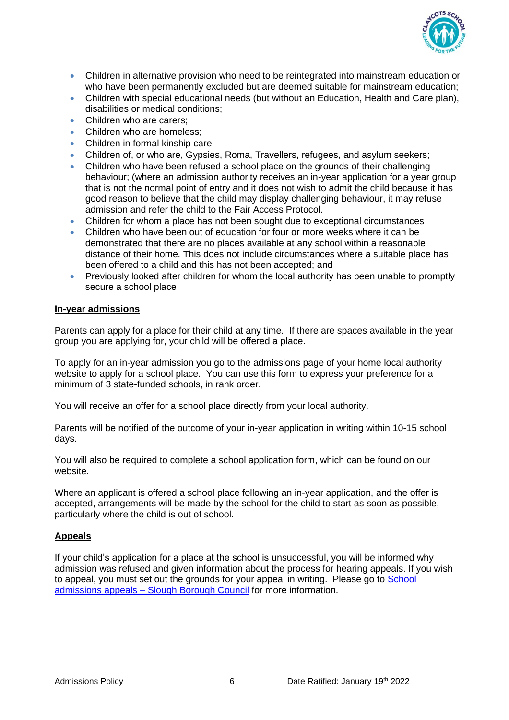

- Children in alternative provision who need to be reintegrated into mainstream education or who have been permanently excluded but are deemed suitable for mainstream education;
- Children with special educational needs (but without an Education, Health and Care plan), disabilities or medical conditions;
- Children who are carers;
- Children who are homeless:
- Children in formal kinship care
- Children of, or who are, Gypsies, Roma, Travellers, refugees, and asylum seekers;
- Children who have been refused a school place on the grounds of their challenging behaviour; (where an admission authority receives an in-year application for a year group that is not the normal point of entry and it does not wish to admit the child because it has good reason to believe that the child may display challenging behaviour, it may refuse admission and refer the child to the Fair Access Protocol.
- Children for whom a place has not been sought due to exceptional circumstances
- Children who have been out of education for four or more weeks where it can be demonstrated that there are no places available at any school within a reasonable distance of their home. This does not include circumstances where a suitable place has been offered to a child and this has not been accepted; and
- Previously looked after children for whom the local authority has been unable to promptly secure a school place

## <span id="page-5-0"></span>**In-year admissions**

Parents can apply for a place for their child at any time. If there are spaces available in the year group you are applying for, your child will be offered a place.

To apply for an in-year admission you go to the admissions page of your home local authority website to apply for a school place. You can use this form to express your preference for a minimum of 3 state-funded schools, in rank order.

You will receive an offer for a school place directly from your local authority.

Parents will be notified of the outcome of your in-year application in writing within 10-15 school days.

You will also be required to complete a school application form, which can be found on our website.

Where an applicant is offered a school place following an in-year application, and the offer is accepted, arrangements will be made by the school for the child to start as soon as possible, particularly where the child is out of school.

## <span id="page-5-1"></span>**Appeals**

<span id="page-5-2"></span>If your child's application for a place at the school is unsuccessful, you will be informed why admission was refused and given information about the process for hearing appeals. If you wish to appeal, you must set out the grounds for your appeal in writing. Please go to School admissions appeals – [Slough Borough Council](https://www.slough.gov.uk/school-admissions/school-admissions-appeals) for more information.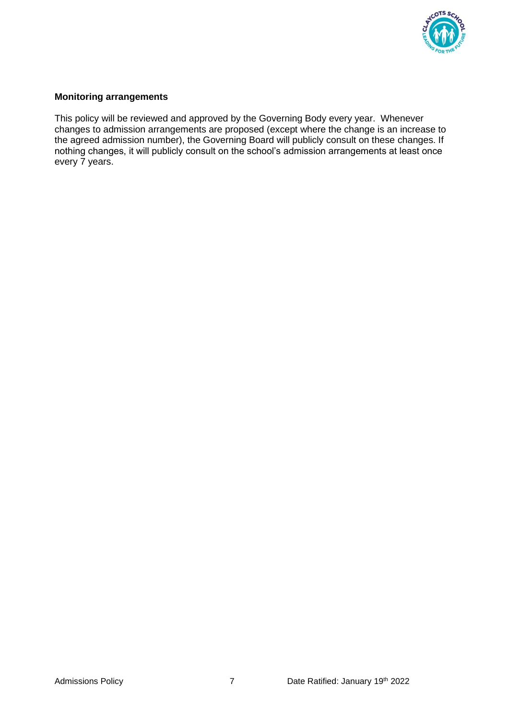

## **Monitoring arrangements**

This policy will be reviewed and approved by the Governing Body every year. Whenever changes to admission arrangements are proposed (except where the change is an increase to the agreed admission number), the Governing Board will publicly consult on these changes. If nothing changes, it will publicly consult on the school's admission arrangements at least once every 7 years.